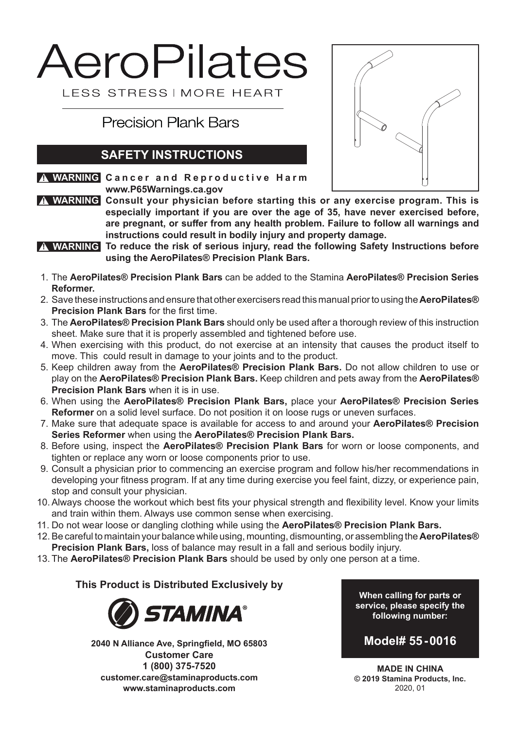# AeroPilates LESS STRESS I MORE HEART

**Precision Plank Bars** 

## **SAFETY INSTRUCTIONS**

**<u>A WARNING</u> Cancer and Reproductive Harm</u> www.P65Warnings.ca.gov**



 $\boldsymbol{\Lambda}$  WARNING Consult your physician before starting this or any exercise program. This is **especially important if you are over the age of 35, have never exercised before, are pregnant, or suffer from any health problem. Failure to follow all warnings and instructions could result in bodily injury and property damage.**

- **To reduce the risk of serious injury, read the following Safety Instructions before ! WARNING using the AeroPilates® Precision Plank Bars.**
- 1. The **AeroPilates® Precision Plank Bars** can be added to the Stamina **AeroPilates® Precision Series Reformer.**
- 2. Save these instructions and ensure that other exercisers read this manual prior to using the **AeroPilates® Precision Plank Bars** for the first time.
- 3. The **AeroPilates® Precision Plank Bars** should only be used after a thorough review of this instruction sheet. Make sure that it is properly assembled and tightened before use.
- 4. When exercising with this product, do not exercise at an intensity that causes the product itself to move. This could result in damage to your joints and to the product.
- 5. Keep children away from the **AeroPilates® Precision Plank Bars.** Do not allow children to use or play on the **AeroPilates® Precision Plank Bars.** Keep children and pets away from the **AeroPilates® Precision Plank Bars** when it is in use.
- 6. When using the **AeroPilates® Precision Plank Bars,** place your **AeroPilates® Precision Series Reformer** on a solid level surface. Do not position it on loose rugs or uneven surfaces.
- 7. Make sure that adequate space is available for access to and around your **AeroPilates® Precision Series Reformer** when using the **AeroPilates® Precision Plank Bars.**
- 8. Before using, inspect the **AeroPilates® Precision Plank Bars** for worn or loose components, and tighten or replace any worn or loose components prior to use.
- 9. Consult a physician prior to commencing an exercise program and follow his/her recommendations in developing your fitness program. If at any time during exercise you feel faint, dizzy, or experience pain, stop and consult your physician.
- 10.Always choose the workout which best fits your physical strength and flexibility level. Know your limits and train within them. Always use common sense when exercising.
- 11. Do not wear loose or dangling clothing while using the **AeroPilates® Precision Plank Bars.**
- 12.Be careful to maintain your balance while using, mounting, dismounting, or assembling the **AeroPilates® Precision Plank Bars,** loss of balance may result in a fall and serious bodily injury.
- 13. The **AeroPilates® Precision Plank Bars** should be used by only one person at a time.

**This Product is Distributed Exclusively by**



**2040 N Alliance Ave, Springfield, MO 65803 Customer Care 1 (800) 375-7520 customer.care@staminaproducts.com www.staminaproducts.com**

**When calling for parts or service, please specify the following number:**



**MADE IN CHINA © 2019 Stamina Products, Inc.** 2020, 01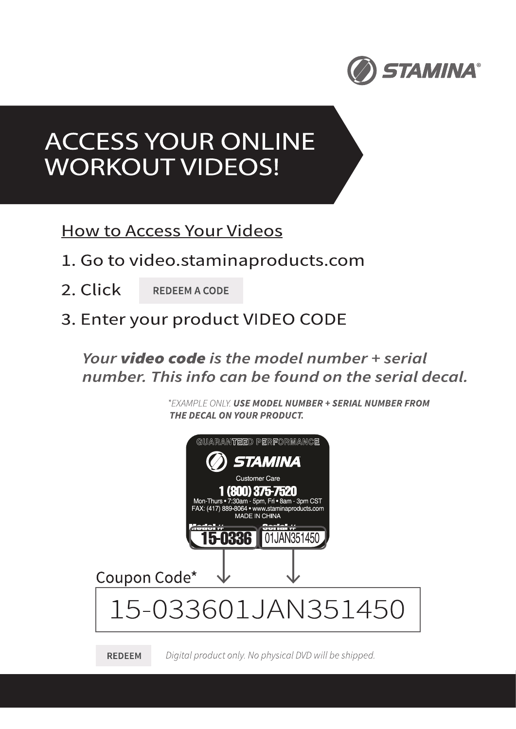

## **ACCESS YOUR ONLINE WORKOUT VIDEOS!**

**How to Access Your Videos** 

- 1. Go to video.staminaproducts.com
- 2. Click **REDEEM A CODE**
- 3. Enter your product VIDEO CODE

## Your **video code** is the model number + serial number. This info can be found on the serial decal.

\*EXAMPLE ONLY. USE MODEL NUMBER + SERIAL NUMBER FROM THE DECAL ON YOUR PRODUCT.



**REDEEM** Digital product only. No physical DVD will be shipped.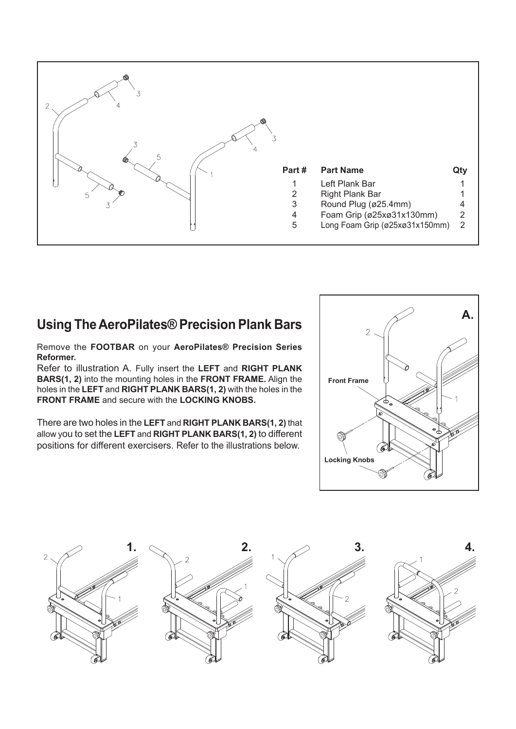

### **Using The AeroPilates® Precision Plank Bars**

Remove the **FOOTBAR** on your **AeroPilates® Precision Series Reformer.**

Refer to illustration A. Fully insert the **LEFT** and **RIGHT PLANK BARS(1, 2)** into the mounting holes in the **FRONT FRAME.** Align the holes in the **LEFT** and **RIGHT PLANK BARS(1, 2)** with the holes in the **FRONT FRAME** and secure with the **LOCKING KNOBS.**

There are two holes in the **LEFT** and **RIGHT PLANK BARS(1, 2)** that allow you to set the **LEFT** and **RIGHT PLANK BARS(1, 2)** to different positions for different exercisers. Refer to the illustrations below.